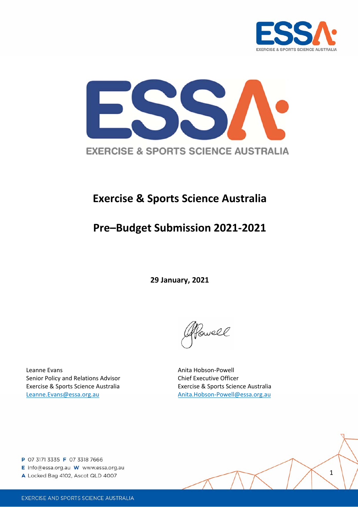



# **Exercise & Sports Science Australia**

# **Pre–Budget Submission 2021‐2021**

**29 January, 2021**

Powell

Leanne Evans Anita Hobson‐Powell Senior Policy and Relations Advisor **Chief Executive Officer** Exercise & Sports Science Australia Exercise & Sports Science Australia Leanne.Evans@essa.org.au Anita.Hobson‐Powell@essa.org.au

- E info@essa.org.au W www.essa.org.au
- A Locked Bag 4102, Ascot QLD 4007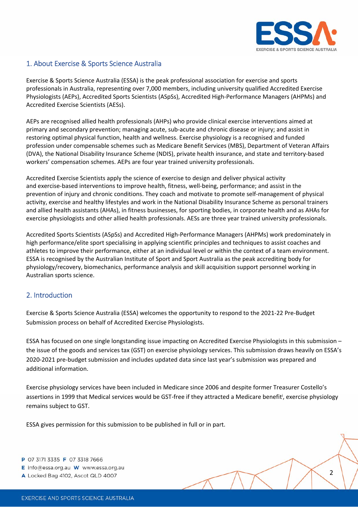

## 1. About Exercise & Sports Science Australia

Exercise & Sports Science Australia (ESSA) is the peak professional association for exercise and sports professionals in Australia, representing over 7,000 members, including university qualified Accredited Exercise Physiologists (AEPs), Accredited Sports Scientists (ASpSs), Accredited High‐Performance Managers (AHPMs) and Accredited Exercise Scientists (AESs).

AEPs are recognised allied health professionals (AHPs) who provide clinical exercise interventions aimed at primary and secondary prevention; managing acute, sub‐acute and chronic disease or injury; and assist in restoring optimal physical function, health and wellness. Exercise physiology is a recognised and funded profession under compensable schemes such as Medicare Benefit Services (MBS), Department of Veteran Affairs (DVA), the National Disability Insurance Scheme (NDIS), private health insurance, and state and territory‐based workers' compensation schemes. AEPs are four year trained university professionals.

Accredited Exercise Scientists apply the science of exercise to design and deliver physical activity and exercise‐based interventions to improve health, fitness, well‐being, performance; and assist in the prevention of injury and chronic conditions. They coach and motivate to promote self-management of physical activity, exercise and healthy lifestyles and work in the National Disability Insurance Scheme as personal trainers and allied health assistants (AHAs), in fitness businesses, for sporting bodies, in corporate health and as AHAs for exercise physiologists and other allied health professionals. AESs are three year trained university professionals.

Accredited Sports Scientists (ASpSs) and Accredited High‐Performance Managers (AHPMs) work predominately in high performance/elite sport specialising in applying scientific principles and techniques to assist coaches and athletes to improve their performance, either at an individual level or within the context of a team environment. ESSA is recognised by the Australian Institute of Sport and Sport Australia as the peak accrediting body for physiology/recovery, biomechanics, performance analysis and skill acquisition support personnel working in Australian sports science.

## 2. Introduction

Exercise & Sports Science Australia (ESSA) welcomes the opportunity to respond to the 2021‐22 Pre‐Budget Submission process on behalf of Accredited Exercise Physiologists.

ESSA has focused on one single longstanding issue impacting on Accredited Exercise Physiologists in this submission – the issue of the goods and services tax (GST) on exercise physiology services. This submission draws heavily on ESSA's 2020‐2021 pre‐budget submission and includes updated data since last year's submission was prepared and additional information.

Exercise physiology services have been included in Medicare since 2006 and despite former Treasurer Costello's assertions in 1999 that Medical services would be GST-free if they attracted a Medicare benefit<sup>i</sup>, exercise physiology remains subject to GST.

ESSA gives permission for this submission to be published in full or in part.

- P 07 3171 3335 F 07 3318 7666
- E info@essa.org.au W www.essa.org.au
- A Locked Bag 4102, Ascot QLD 4007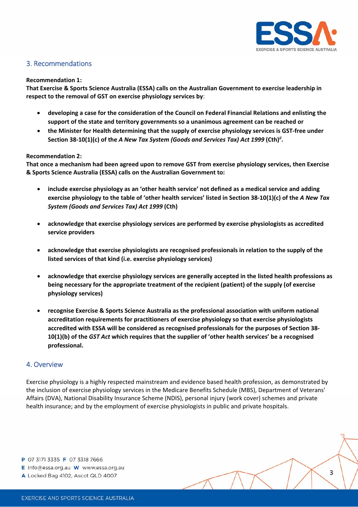

## 3. Recommendations

#### **Recommendation 1:**

**That Exercise & Sports Science Australia (ESSA) calls on the Australian Government to exercise leadership in respect to the removal of GST on exercise physiology services by**:

- **developing a case for the consideration of the Council on Federal Financial Relations and enlisting the support of the state and territory governments so a unanimous agreement can be reached or**
- **the Minister for Health determining that the supply of exercise physiology services is GST‐free under Section 38‐10(1)(c) of the** *A New Tax System (Goods and Services Tax) Act 1999* **(Cth)***ii* **.**

#### **Recommendation 2:**

**That once a mechanism had been agreed upon to remove GST from exercise physiology services, then Exercise & Sports Science Australia (ESSA) calls on the Australian Government to:**

- **include exercise physiology as an 'other health service' not defined as a medical service and adding** exercise physiology to the table of 'other health services' listed in Section 38-10(1)(c) of the A New Tax *System (Goods and Services Tax) Act 1999* **(Cth)**
- **acknowledge that exercise physiology services are performed by exercise physiologists as accredited service providers**
- **acknowledge that exercise physiologists are recognised professionals in relation to the supply of the listed services of that kind (i.e. exercise physiology services)**
- **acknowledge that exercise physiology services are generally accepted in the listed health professions as being necessary for the appropriate treatment of the recipient (patient) of the supply (of exercise physiology services)**
- **recognise Exercise & Sports Science Australia as the professional association with uniform national accreditation requirements for practitioners of exercise physiology so that exercise physiologists accredited with ESSA will be considered as recognised professionals for the purposes of Section 38‐ 10(1)(b) of the** *GST Act* **which requires that the supplier of 'other health services' be a recognised professional.**

#### 4. Overview

Exercise physiology is a highly respected mainstream and evidence based health profession, as demonstrated by the inclusion of exercise physiology services in the Medicare Benefits Schedule (MBS), Department of Veterans' Affairs (DVA), National Disability Insurance Scheme (NDIS), personal injury (work cover) schemes and private health insurance; and by the employment of exercise physiologists in public and private hospitals.

- E info@essa.org.au W www.essa.org.au
- A Locked Bag 4102, Ascot QLD 4007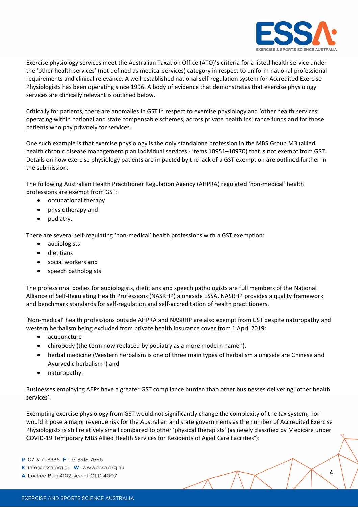

Exercise physiology services meet the Australian Taxation Office (ATO)'s criteria for a listed health service under the 'other health services' (not defined as medical services) category in respect to uniform national professional requirements and clinical relevance. A well‐established national self‐regulation system for Accredited Exercise Physiologists has been operating since 1996. A body of evidence that demonstrates that exercise physiology services are clinically relevant is outlined below.

Critically for patients, there are anomalies in GST in respect to exercise physiology and 'other health services' operating within national and state compensable schemes, across private health insurance funds and for those patients who pay privately for services.

One such example is that exercise physiology is the only standalone profession in the MBS Group M3 (allied health chronic disease management plan individual services - items 10951–10970) that is not exempt from GST. Details on how exercise physiology patients are impacted by the lack of a GST exemption are outlined further in the submission.

The following Australian Health Practitioner Regulation Agency (AHPRA) regulated 'non-medical' health professions are exempt from GST:

- occupational therapy
- physiotherapy and
- podiatry.

There are several self‐regulating 'non‐medical' health professions with a GST exemption:

- audiologists
- dietitians
- social workers and
- speech pathologists.

The professional bodies for audiologists, dietitians and speech pathologists are full members of the National Alliance of Self‐Regulating Health Professions (NASRHP) alongside ESSA. NASRHP provides a quality framework and benchmark standards for self‐regulation and self‐accreditation of health practitioners.

'Non‐medical' health professions outside AHPRA and NASRHP are also exempt from GST despite naturopathy and western herbalism being excluded from private health insurance cover from 1 April 2019:

- acupuncture
- chiropody (the term now replaced by podiatry as a more modern name<sup>iii</sup>).
- herbal medicine (Western herbalism is one of three main types of herbalism alongside are Chinese and Ayurvedic herbalismiv) and
- naturopathy.

Businesses employing AEPs have a greater GST compliance burden than other businesses delivering 'other health services'.

Exempting exercise physiology from GST would not significantly change the complexity of the tax system, nor would it pose a major revenue risk for the Australian and state governments as the number of Accredited Exercise Physiologists is still relatively small compared to other 'physical therapists' (as newly classified by Medicare under COVID-19 Temporary MBS Allied Health Services for Residents of Aged Care Facilities<sup>v</sup>):

- E info@essa.org.au W www.essa.org.au
- A Locked Bag 4102, Ascot QLD 4007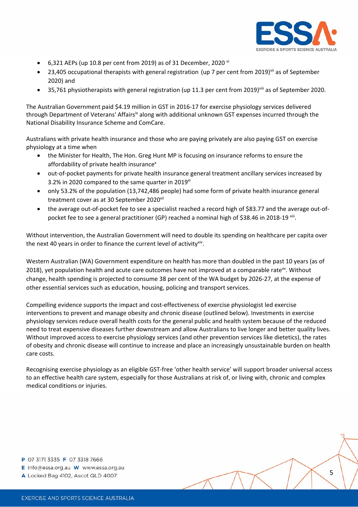

- 6,321 AEPs (up 10.8 per cent from 2019) as of 31 December, 2020  $\overline{v}$
- 23,405 occupational therapists with general registration (up 7 per cent from 2019)<sup>vii</sup> as of September 2020) and
- 35,761 physiotherapists with general registration (up 11.3 per cent from 2019)<sup>viii</sup> as of September 2020.

The Australian Government paid \$4.19 million in GST in 2016‐17 for exercise physiology services delivered through Department of Veterans' Affairs<sup>ix</sup> along with additional unknown GST expenses incurred through the National Disability Insurance Scheme and ComCare.

Australians with private health insurance and those who are paying privately are also paying GST on exercise physiology at a time when

- the Minister for Health, The Hon. Greg Hunt MP is focusing on insurance reforms to ensure the affordability of private health insurance<sup>x</sup>
- out-of-pocket payments for private health insurance general treatment ancillary services increased by 3.2% in 2020 compared to the same quarter in 2019 $x$ <sup>i</sup>
- only 53.2% of the population (13,742,486 people) had some form of private health insurance general treatment cover as at 30 September 2020<sup>xii</sup>
- the average out-of-pocket fee to see a specialist reached a record high of \$83.77 and the average out-ofpocket fee to see a general practitioner (GP) reached a nominal high of \$38.46 in 2018-19 xiii.

Without intervention, the Australian Government will need to double its spending on healthcare per capita over the next 40 years in order to finance the current level of activity<sup>xiv</sup>.

Western Australian (WA) Government expenditure on health has more than doubled in the past 10 years (as of 2018), yet population health and acute care outcomes have not improved at a comparable rate $^{x}$ . Without change, health spending is projected to consume 38 per cent of the WA budget by 2026‐27, at the expense of other essential services such as education, housing, policing and transport services.

Compelling evidence supports the impact and cost‐effectiveness of exercise physiologist led exercise interventions to prevent and manage obesity and chronic disease (outlined below). Investments in exercise physiology services reduce overall health costs for the general public and health system because of the reduced need to treat expensive diseases further downstream and allow Australians to live longer and better quality lives. Without improved access to exercise physiology services (and other prevention services like dietetics), the rates of obesity and chronic disease will continue to increase and place an increasingly unsustainable burden on health care costs.

Recognising exercise physiology as an eligible GST‐free 'other health service' will support broader universal access to an effective health care system, especially for those Australians at risk of, or living with, chronic and complex medical conditions or injuries.

- E info@essa.org.au W www.essa.org.au
- A Locked Bag 4102, Ascot QLD 4007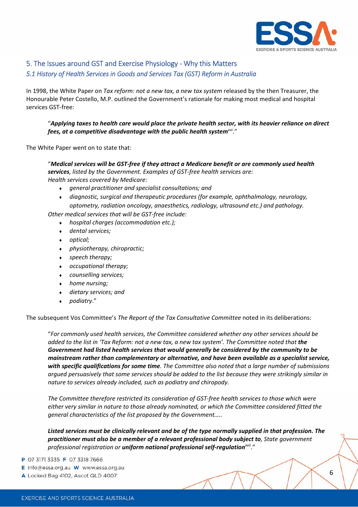

## 5. The Issues around GST and Exercise Physiology ‐ Why this Matters

#### *5.1 History of Health Services in Goods and Services Tax (GST) Reform in Australia*

In 1998, the White Paper on *Tax reform: not a new tax, a new tax system* released by the then Treasurer, the Honourable Peter Costello, M.P. outlined the Government's rationale for making most medical and hospital services GST‐free:

#### "*Applying taxes to health care would place the private health sector, with its heavier reliance on direct fees, at a competitive disadvantage with the public health system<sup>xvi."</sup>*

The White Paper went on to state that:

"*Medical services will be GST‐free if they attract a Medicare benefit or are commonly used health services, listed by the Government. Examples of GST‐free health services are: Health services covered by Medicare:*

- *general practitioner and specialist consultations; and*
- *diagnostic, surgical and therapeutic procedures (for example, ophthalmology, neurology, optometry, radiation oncology, anaesthetics, radiology, ultrasound etc.) and pathology.*

*Other medical services that will be GST‐free include:*

- *hospital charges (accommodation etc.);*
- *dental services;*
- *optical;*
- *physiotherapy, chiropractic;*
- *speech therapy;*
- *occupational therapy;*
- *counselling services;*
- *home nursing;*
- *dietary services; and*
- *podiatry*."

The subsequent Vos Committee's *The Report of the Tax Consultative Committee* noted in its deliberations:

"*For commonly used health services, the Committee considered whether any other services should be* added to the list in 'Tax Reform: not a new tax, a new tax system'. The Committee noted that the *Government had listed health services that would generally be considered by the community to be mainstream rather than complementary or alternative, and have been available as a specialist service, with specific qualifications for some time. The Committee also noted that a large number of submissions* argued persuasively that some services should be added to the list because they were strikingly similar in *nature to services already included, such as podiatry and chiropody.*

*The Committee therefore restricted its consideration of GST‐free health services to those which were either very similar in nature to those already nominated, or which the Committee considered fitted the general characteristics of the list proposed by the Government…..*

*Listed services must be clinically relevant and be of the type normally supplied in that profession. The practitioner must also be a member of a relevant professional body subject to, State government professional registration or uniform national professional self‐regulation*xvii."

- E info@essa.org.au W www.essa.org.au
- A Locked Bag 4102, Ascot QLD 4007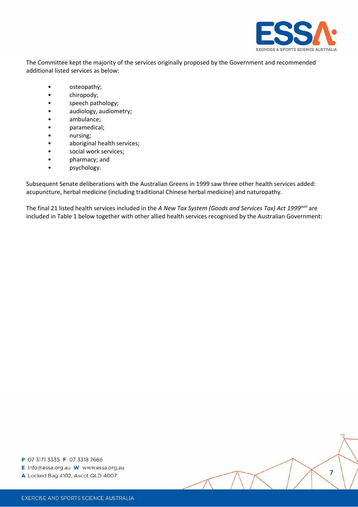

The Committee kept the majority of the services originally proposed by the Government and recommended additional listed services as below:

- osteopathy;
- chiropody;
- speech pathology;
- audiology, audiometry;
- ambulance;
- paramedical;
- nursing;
- aboriginal health services;
- social work services;
- pharmacy; and
- psychology.

Subsequent Senate deliberations with the Australian Greens in 1999 saw three other health services added: acupuncture, herbal medicine (including traditional Chinese herbal medicine) and naturopathy.

The final 21 listed health services included in the *A New Tax System (Goods and Services Tax) Act 1999xviii* are included in Table 1 below together with other allied health services recognised by the Australian Government:

- E info@essa.org.au W www.essa.org.au
- A Locked Bag 4102, Ascot QLD 4007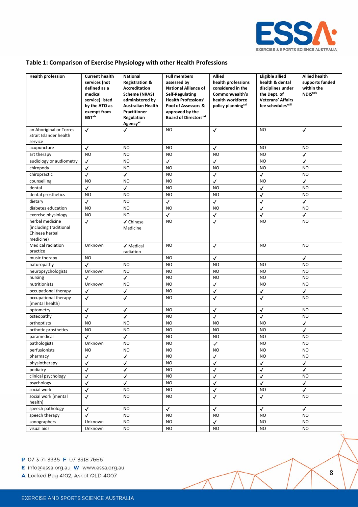

#### **Table 1: Comparison of Exercise Physiology with other Health Professions**

| <b>Health profession</b>                                                 | <b>Current health</b>                                                                                                    | <b>National</b>                                                                                                                                                                | <b>Full members</b>                                                                                                                                                                      | <b>Allied</b>                                                                                                    | <b>Eligible allied</b>                                                                                             | <b>Allied health</b>                              |
|--------------------------------------------------------------------------|--------------------------------------------------------------------------------------------------------------------------|--------------------------------------------------------------------------------------------------------------------------------------------------------------------------------|------------------------------------------------------------------------------------------------------------------------------------------------------------------------------------------|------------------------------------------------------------------------------------------------------------------|--------------------------------------------------------------------------------------------------------------------|---------------------------------------------------|
|                                                                          | services (not<br>defined as a<br>medical<br>service) listed<br>by the ATO as<br>exempt from<br><b>GST</b> <sup>xix</sup> | <b>Registration &amp;</b><br><b>Accreditation</b><br>Scheme (NRAS)<br>administered by<br><b>Australian Health</b><br><b>Practitioner</b><br>Regulation<br>Agency <sup>xx</sup> | assessed by<br><b>National Alliance of</b><br><b>Self-Regulating</b><br><b>Health Professions'</b><br>Pool of Assessors &<br>approved by the<br><b>Board of Directors</b> <sup>xxi</sup> | health professions<br>considered in the<br>Commonwealth's<br>health workforce<br>policy planning <sup>xxii</sup> | health & dental<br>disciplines under<br>the Dept. of<br><b>Veterans' Affairs</b><br>fee schedules <sup>xxiii</sup> | supports funded<br>within the<br><b>NDIS</b> xxiv |
| an Aboriginal or Torres                                                  | $\checkmark$                                                                                                             | ✓                                                                                                                                                                              | <b>NO</b>                                                                                                                                                                                | $\checkmark$                                                                                                     | NO                                                                                                                 | $\checkmark$                                      |
| Strait Islander health<br>service                                        |                                                                                                                          |                                                                                                                                                                                |                                                                                                                                                                                          |                                                                                                                  |                                                                                                                    |                                                   |
| acupuncture                                                              | ✓                                                                                                                        | <b>NO</b>                                                                                                                                                                      | <b>NO</b>                                                                                                                                                                                | ✓                                                                                                                | <b>NO</b>                                                                                                          | <b>NO</b>                                         |
| art therapy                                                              | <b>NO</b>                                                                                                                | <b>NO</b>                                                                                                                                                                      | <b>NO</b>                                                                                                                                                                                | <b>NO</b>                                                                                                        | <b>NO</b>                                                                                                          | ✓                                                 |
| audiology or audiometry                                                  | $\checkmark$                                                                                                             | <b>NO</b>                                                                                                                                                                      | $\checkmark$                                                                                                                                                                             | √                                                                                                                | <b>NO</b>                                                                                                          | ✓                                                 |
| chiropody                                                                | $\checkmark$                                                                                                             | <b>NO</b>                                                                                                                                                                      | N <sub>O</sub>                                                                                                                                                                           | <b>NO</b>                                                                                                        | N <sub>O</sub>                                                                                                     | N <sub>O</sub>                                    |
| chiropractic                                                             | √                                                                                                                        | $\checkmark$                                                                                                                                                                   | <b>NO</b>                                                                                                                                                                                | $\checkmark$                                                                                                     | $\checkmark$                                                                                                       | <b>NO</b>                                         |
| counselling                                                              | <b>NO</b>                                                                                                                | <b>NO</b>                                                                                                                                                                      | <b>NO</b>                                                                                                                                                                                | ✓                                                                                                                | NO                                                                                                                 | $\checkmark$                                      |
| dental                                                                   | √                                                                                                                        | $\checkmark$                                                                                                                                                                   | <b>NO</b>                                                                                                                                                                                | <b>NO</b>                                                                                                        | $\checkmark$                                                                                                       | N <sub>O</sub>                                    |
| dental prosthetics                                                       | <b>NO</b>                                                                                                                | <b>NO</b>                                                                                                                                                                      | <b>NO</b>                                                                                                                                                                                | <b>NO</b>                                                                                                        | ✓                                                                                                                  | <b>NO</b>                                         |
| dietary                                                                  | √                                                                                                                        | <b>NO</b>                                                                                                                                                                      | ✓                                                                                                                                                                                        | ✓                                                                                                                | ✓                                                                                                                  | ✓                                                 |
| diabetes education                                                       | <b>NO</b>                                                                                                                | <b>NO</b>                                                                                                                                                                      | <b>NO</b>                                                                                                                                                                                | <b>NO</b>                                                                                                        | √                                                                                                                  | <b>NO</b>                                         |
| exercise physiology                                                      | <b>NO</b>                                                                                                                | N <sub>O</sub>                                                                                                                                                                 | $\checkmark$                                                                                                                                                                             | ✓                                                                                                                | $\checkmark$                                                                                                       | $\checkmark$                                      |
| herbal medicine<br>(including traditional<br>Chinese herbal<br>medicine) | ✓                                                                                                                        | √ Chinese<br>Medicine                                                                                                                                                          | <b>NO</b>                                                                                                                                                                                | $\checkmark$                                                                                                     | NO                                                                                                                 | NO                                                |
| <b>Medical radiation</b><br>practice                                     | Unknown                                                                                                                  | √ Medical<br>radiation                                                                                                                                                         | <b>NO</b>                                                                                                                                                                                | $\checkmark$                                                                                                     | NO                                                                                                                 | NO.                                               |
| music therapy                                                            | <b>NO</b>                                                                                                                |                                                                                                                                                                                | <b>NO</b>                                                                                                                                                                                | $\checkmark$                                                                                                     |                                                                                                                    | $\checkmark$                                      |
| naturopathy                                                              | $\checkmark$                                                                                                             | <b>NO</b>                                                                                                                                                                      | <b>NO</b>                                                                                                                                                                                | <b>NO</b>                                                                                                        | NO                                                                                                                 | <b>NO</b>                                         |
| neuropsychologists                                                       | Unknown                                                                                                                  | <b>NO</b>                                                                                                                                                                      | <b>NO</b>                                                                                                                                                                                | <b>NO</b>                                                                                                        | <b>NO</b>                                                                                                          | <b>NO</b>                                         |
| nursing                                                                  | ✓                                                                                                                        | ✓                                                                                                                                                                              | <b>NO</b>                                                                                                                                                                                | <b>NO</b>                                                                                                        | <b>NO</b>                                                                                                          | <b>NO</b>                                         |
| nutritionists                                                            | Unknown                                                                                                                  | <b>NO</b>                                                                                                                                                                      | <b>NO</b>                                                                                                                                                                                | $\checkmark$                                                                                                     | NO                                                                                                                 | <b>NO</b>                                         |
| occupational therapy                                                     | $\checkmark$                                                                                                             | √                                                                                                                                                                              | <b>NO</b>                                                                                                                                                                                | $\checkmark$                                                                                                     | $\checkmark$                                                                                                       | $\checkmark$                                      |
| occupational therapy<br>(mental health)                                  | $\checkmark$                                                                                                             | √                                                                                                                                                                              | <b>NO</b>                                                                                                                                                                                | √                                                                                                                | ✓                                                                                                                  | <b>NO</b>                                         |
| optometry                                                                | √                                                                                                                        | ✓                                                                                                                                                                              | <b>NO</b>                                                                                                                                                                                | ✓                                                                                                                | ✓                                                                                                                  | <b>NO</b>                                         |
| osteopathy                                                               | √                                                                                                                        | √                                                                                                                                                                              | <b>NO</b>                                                                                                                                                                                | √                                                                                                                | $\checkmark$                                                                                                       | <b>NO</b>                                         |
| orthoptists                                                              | <b>NO</b>                                                                                                                | <b>NO</b>                                                                                                                                                                      | <b>NO</b>                                                                                                                                                                                | <b>NO</b>                                                                                                        | <b>NO</b>                                                                                                          | ✓                                                 |
| orthotic prosthetics                                                     | <b>NO</b>                                                                                                                | <b>NO</b>                                                                                                                                                                      | <b>NO</b>                                                                                                                                                                                | <b>NO</b>                                                                                                        | <b>NO</b>                                                                                                          | $\checkmark$                                      |
| paramedical                                                              | √                                                                                                                        | $\checkmark$                                                                                                                                                                   | <b>NO</b>                                                                                                                                                                                | <b>NO</b>                                                                                                        | NO                                                                                                                 | <b>NO</b>                                         |
| pathologists                                                             | Unknown                                                                                                                  | NO                                                                                                                                                                             | <b>NO</b>                                                                                                                                                                                | ✓                                                                                                                | NO                                                                                                                 | NO                                                |
| perfusionists                                                            | <b>NO</b>                                                                                                                | <b>NO</b>                                                                                                                                                                      | <b>NO</b>                                                                                                                                                                                | <b>NO</b>                                                                                                        | NO                                                                                                                 | <b>NO</b>                                         |
| pharmacy                                                                 | $\checkmark$                                                                                                             | $\checkmark$                                                                                                                                                                   | <b>NO</b>                                                                                                                                                                                | $\checkmark$                                                                                                     | <b>NO</b>                                                                                                          | <b>NO</b>                                         |
| physiotherapy                                                            | ✓                                                                                                                        | √                                                                                                                                                                              | <b>NO</b>                                                                                                                                                                                | ✓                                                                                                                | $\checkmark$                                                                                                       | $\checkmark$                                      |
| podiatry                                                                 | ✓                                                                                                                        | ✓                                                                                                                                                                              | <b>NO</b>                                                                                                                                                                                | $\checkmark$                                                                                                     | $\checkmark$                                                                                                       | $\checkmark$                                      |
| clinical psychology                                                      | $\checkmark$                                                                                                             | $\checkmark$                                                                                                                                                                   | <b>NO</b>                                                                                                                                                                                | $\checkmark$                                                                                                     | $\checkmark$                                                                                                       | <b>NO</b>                                         |
| psychology                                                               | $\checkmark$                                                                                                             | $\checkmark$                                                                                                                                                                   | <b>NO</b>                                                                                                                                                                                | $\checkmark$                                                                                                     | $\checkmark$                                                                                                       | $\checkmark$                                      |
| social work                                                              | √                                                                                                                        | <b>NO</b>                                                                                                                                                                      | <b>NO</b>                                                                                                                                                                                | $\checkmark$                                                                                                     | <b>NO</b>                                                                                                          | $\checkmark$                                      |
| social work (mental<br>health)                                           | ✓                                                                                                                        | NO                                                                                                                                                                             | <b>NO</b>                                                                                                                                                                                | ✓                                                                                                                | $\checkmark$                                                                                                       | <b>NO</b>                                         |
| speech pathology                                                         | $\checkmark$                                                                                                             | <b>NO</b>                                                                                                                                                                      | $\checkmark$                                                                                                                                                                             | $\checkmark$                                                                                                     | $\checkmark$                                                                                                       | $\checkmark$                                      |
| speech therapy                                                           | √                                                                                                                        | <b>NO</b>                                                                                                                                                                      | <b>NO</b>                                                                                                                                                                                | <b>NO</b>                                                                                                        | NO.                                                                                                                | <b>NO</b>                                         |
| sonographers                                                             | Unknown                                                                                                                  | NO                                                                                                                                                                             | <b>NO</b>                                                                                                                                                                                | $\checkmark$                                                                                                     | NO.                                                                                                                | NO.                                               |
| visual aids                                                              | Unknown                                                                                                                  | NO                                                                                                                                                                             | <b>NO</b>                                                                                                                                                                                | <b>NO</b>                                                                                                        | <b>NO</b>                                                                                                          | <b>NO</b>                                         |

P 07 3171 3335 F 07 3318 7666

E info@essa.org.au W www.essa.org.au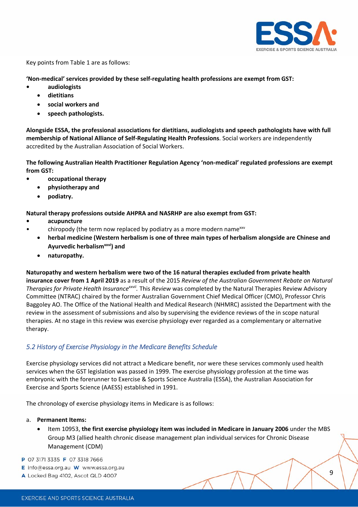

Key points from Table 1 are as follows:

#### **'Non‐medical' services provided by these self‐regulating health professions are exempt from GST:**

- **• audiologists**
	- **dietitians**
	- **social workers and**
	- **speech pathologists.**

**Alongside ESSA, the professional associations for dietitians, audiologists and speech pathologists have with full membership of National Alliance of Self‐Regulating Health Professions**. Social workers are independently accredited by the Australian Association of Social Workers.

**The following Australian Health Practitioner Regulation Agency 'non‐medical' regulated professions are exempt from GST:**

- **• occupational therapy**
	- **physiotherapy and**
	- **podiatry.**

**Natural therapy professions outside AHPRA and NASRHP are also exempt from GST:**

- **• acupuncture**
	- chiropody (the term now replaced by podiatry as a more modern namexxv
	- **herbal medicine (Western herbalism is one of three main types of herbalism alongside are Chinese and Ayurvedic herbalismxxvi) and**
	- **naturopathy.**

**Naturopathy and western herbalism were two of the 16 natural therapies excluded from private health insurance cover from 1 April 2019** as a result of the 2015 *Review of the Australian Government Rebate on Natural Therapies for Private Health Insurancexxvii.* This *Review* was completed by the Natural Therapies Review Advisory Committee (NTRAC) chaired by the former Australian Government Chief Medical Officer (CMO), Professor Chris Baggoley AO. The Office of the National Health and Medical Research (NHMRC) assisted the Department with the review in the assessment of submissions and also by supervising the evidence reviews of the in scope natural therapies. At no stage in this review was exercise physiology ever regarded as a complementary or alternative therapy.

### *5.2 History of Exercise Physiology in the Medicare Benefits Schedule*

Exercise physiology services did not attract a Medicare benefit, nor were these services commonly used health services when the GST legislation was passed in 1999. The exercise physiology profession at the time was embryonic with the forerunner to Exercise & Sports Science Australia (ESSA), the Australian Association for Exercise and Sports Science (AAESS) established in 1991.

The chronology of exercise physiology items in Medicare is as follows:

- a. **Permanent Items:**
	- Item 10953, **the first exercise physiology item was included in Medicare in January 2006** under the MBS Group M3 (allied health chronic disease management plan individual services for Chronic Disease Management (CDM)
- P 07 3171 3335 F 07 3318 7666
- E info@essa.org.au W www.essa.org.au
- A Locked Bag 4102, Ascot QLD 4007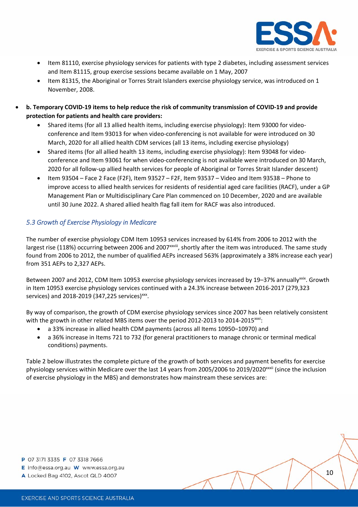

- Item 81110, exercise physiology services for patients with type 2 diabetes, including assessment services and Item 81115, group exercise sessions became available on 1 May, 2007
- Item 81315, the Aboriginal or Torres Strait Islanders exercise physiology service, was introduced on 1 November, 2008.
- b. Temporary COVID-19 items to help reduce the risk of community transmission of COVID-19 and provide **protection for patients and health care providers:**
	- Shared items (for all 13 allied health items, including exercise physiology): Item 93000 for videoconference and Item 93013 for when video‐conferencing is not available for were introduced on 30 March, 2020 for all allied health CDM services (all 13 items, including exercise physiology)
	- Shared items (for all allied health 13 items, including exercise physiology): Item 93048 for videoconference and Item 93061 for when video‐conferencing is not available were introduced on 30 March, 2020 for all follow‐up allied health services for people of Aboriginal or Torres Strait Islander descent)
	- Item 93504 Face 2 Face (F2F), Item 93527 F2F, Item 93537 Video and Item 93538 Phone to improve access to allied health services for residents of residential aged care facilities (RACF), under a GP Management Plan or Multidisciplinary Care Plan commenced on 10 December, 2020 and are available until 30 June 2022. A shared allied health flag fall item for RACF was also introduced.

#### *5.3 Growth of Exercise Physiology in Medicare*

The number of exercise physiology CDM Item 10953 services increased by 614% from 2006 to 2012 with the largest rise (118%) occurring between 2006 and 2007<sup>xxviii</sup>, shortly after the item was introduced. The same study found from 2006 to 2012, the number of qualified AEPs increased 563% (approximately a 38% increase each year) from 351 AEPs to 2,327 AEPs.

Between 2007 and 2012, CDM Item 10953 exercise physiology services increased by 19-37% annuallyxxix. Growth in Item 10953 exercise physiology services continued with a 24.3% increase between 2016‐2017 (279,323 services) and 2018-2019 (347,225 services)<sup>xxx</sup>.

By way of comparison, the growth of CDM exercise physiology services since 2007 has been relatively consistent with the growth in other related MBS items over the period 2012-2013 to 2014-2015<sup>xxxi</sup>:

- a 33% increase in allied health CDM payments (across all Items 10950–10970) and
- a 36% increase in Items 721 to 732 (for general practitioners to manage chronic or terminal medical conditions) payments.

Table 2 below illustrates the complete picture of the growth of both services and payment benefits for exercise physiology services within Medicare over the last 14 years from 2005/2006 to 2019/2020<sup>xxxii</sup> (since the inclusion of exercise physiology in the MBS) and demonstrates how mainstream these services are:

- E info@essa.org.au W www.essa.org.au
- A Locked Bag 4102, Ascot QLD 4007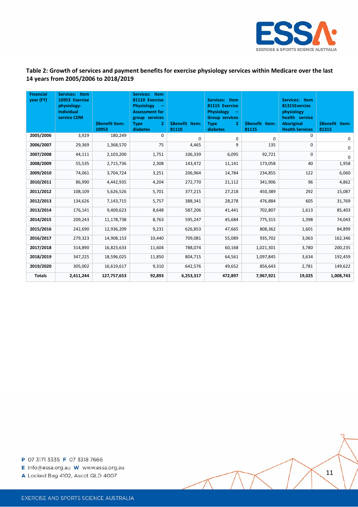

#### Table 2: Growth of services and payment benefits for exercise physiology services within Medicare over the last **14 years from 2005/2006 to 2018/2019**

| <b>Financial</b><br>year (FY) | Services: Item<br>10953 Exercise<br>physiology-<br><b>Individual</b><br>service CDM | <b>\$Benefit Item:</b><br>10953 | Services: Item<br>81110 Exercise<br><b>Physiology</b><br><b>Assessment for</b><br>group services<br>$\overline{2}$<br><b>Type</b><br><b>diabetes</b> | <b>SBenefit Item:</b><br>81110 | Services: Item<br>81115 Exercise<br><b>Physiology</b><br><b>Group services</b><br>$\overline{2}$<br><b>Type</b><br>diabetes | <b>SBenefit Item:</b><br>81115 | Services: Item<br>81315Exercise<br>physiology<br>health service<br><b>Aboriginal</b><br><b>Health Services</b> | \$Benefit Item:<br>81315 |
|-------------------------------|-------------------------------------------------------------------------------------|---------------------------------|------------------------------------------------------------------------------------------------------------------------------------------------------|--------------------------------|-----------------------------------------------------------------------------------------------------------------------------|--------------------------------|----------------------------------------------------------------------------------------------------------------|--------------------------|
| 2005/2006                     | 3,929                                                                               | 180,249                         | $\Omega$                                                                                                                                             | 0                              | 0                                                                                                                           | $\mathbf 0$                    | 0                                                                                                              | 0                        |
| 2006/2007                     | 29,369                                                                              | 1,368,570                       | 75                                                                                                                                                   | 4,465                          | 9                                                                                                                           | 135                            | 0                                                                                                              | 0                        |
| 2007/2008                     | 44,111                                                                              | 2,103,200                       | 1,751                                                                                                                                                | 106,339                        | 6,095                                                                                                                       | 92,721                         | $\Omega$                                                                                                       | 0                        |
| 2008/2009                     | 55,535                                                                              | 2,715,736                       | 2,308                                                                                                                                                | 143,472                        | 11,141                                                                                                                      | 173,058                        | 40                                                                                                             | 1,958                    |
| 2009/2010                     | 74,061                                                                              | 3,704,724                       | 3,251                                                                                                                                                | 206,964                        | 14,784                                                                                                                      | 234,855                        | 122                                                                                                            | 6,060                    |
| 2010/2011                     | 86,990                                                                              | 4,442,935                       | 4,204                                                                                                                                                | 272,770                        | 21,112                                                                                                                      | 341,906                        | 96                                                                                                             | 4,862                    |
| 2011/2012                     | 108,109                                                                             | 5,626,526                       | 5,701                                                                                                                                                | 377,215                        | 27,218                                                                                                                      | 450,389                        | 292                                                                                                            | 15,087                   |
| 2012/2013                     | 134,626                                                                             | 7,143,715                       | 5,757                                                                                                                                                | 388,341                        | 28,278                                                                                                                      | 476,884                        | 605                                                                                                            | 31,769                   |
| 2013/2014                     | 176,141                                                                             | 9,409,623                       | 8,648                                                                                                                                                | 587,206                        | 41,441                                                                                                                      | 702,807                        | 1,613                                                                                                          | 85,403                   |
| 2014/2015                     | 209,243                                                                             | 11,178,738                      | 8,763                                                                                                                                                | 595,247                        | 45,684                                                                                                                      | 775,315                        | 1,398                                                                                                          | 74,043                   |
| 2015/2016                     | 242,690                                                                             | 12,936,209                      | 9,231                                                                                                                                                | 626,853                        | 47,665                                                                                                                      | 808,362                        | 1,601                                                                                                          | 84,899                   |
| 2016/2017                     | 279,323                                                                             | 14,908,153                      | 10,440                                                                                                                                               | 709,081                        | 55,089                                                                                                                      | 935,702                        | 3,063                                                                                                          | 162,346                  |
| 2017/2018                     | 314,890                                                                             | 16,823,633                      | 11,604                                                                                                                                               | 788,074                        | 60,168                                                                                                                      | 1,021,301                      | 3,780                                                                                                          | 200,235                  |
| 2018/2019                     | 347,225                                                                             | 18,596,025                      | 11,850                                                                                                                                               | 804,715                        | 64,561                                                                                                                      | 1,097,845                      | 3,634                                                                                                          | 192,459                  |
| 2019/2020                     | 305,002                                                                             | 16,619,617                      | 9,310                                                                                                                                                | 642,576                        | 49,652                                                                                                                      | 856,643                        | 2.781                                                                                                          | 149,622                  |
| <b>Totals</b>                 | 2,411,244                                                                           | 127,757,653                     | 92,893                                                                                                                                               | 6,253,317                      | 472,897                                                                                                                     | 7,967,921                      | 19,025                                                                                                         | 1,008,743                |

P 07 3171 3335 F 07 3318 7666

E info@essa.org.au W www.essa.org.au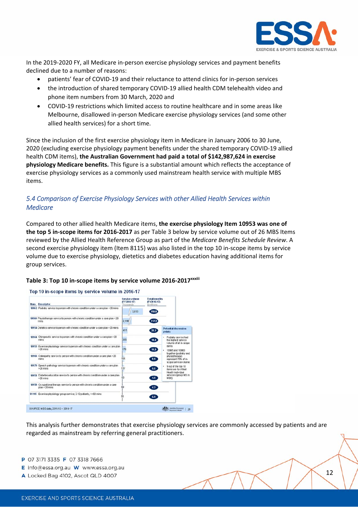

In the 2019‐2020 FY, all Medicare in‐person exercise physiology services and payment benefits declined due to a number of reasons:

- patients' fear of COVID‐19 and their reluctance to attend clinics for in‐person services
- the introduction of shared temporary COVID‐19 allied health CDM telehealth video and phone item numbers from 30 March, 2020 and
- COVID-19 restrictions which limited access to routine healthcare and in some areas like Melbourne, disallowed in‐person Medicare exercise physiology services (and some other allied health services) for a short time.

Since the inclusion of the first exercise physiology item in Medicare in January 2006 to 30 June, 2020 (excluding exercise physiology payment benefits under the shared temporary COVID‐19 allied health CDM items), **the Australian Government had paid a total of \$142,987,624 in exercise physiology Medicare benefits.** This figure is a substantial amount which reflects the acceptance of exercise physiology services as a commonly used mainstream health service with multiple MBS items.

## *5.4 Comparison of Exercise Physiology Services with other Allied Health Services within Medicare*

Compared to other allied health Medicare items, **the exercise physiology Item 10953 was one of the top 5 in‐scope items for 2016‐2017** as per Table 3 below by service volume out of 26 MBS Items reviewed by the Allied Health Reference Group as part of the *Medicare Benefits Schedule Review*. A second exercise physiology item (Item 8115) was also listed in the top 10 in‐scope items by service volume due to exercise physiology, dietetics and diabetes education having additional items for group services.



#### **Table 3: Top 10 in‐scope items by service volume 2016‐2017xxxiii**

This analysis further demonstrates that exercise physiology services are commonly accessed by patients and are regarded as mainstream by referring general practitioners.

- P 07 3171 3335 F 07 3318 7666
- E info@essa.org.au W www.essa.org.au
- A Locked Bag 4102, Ascot QLD 4007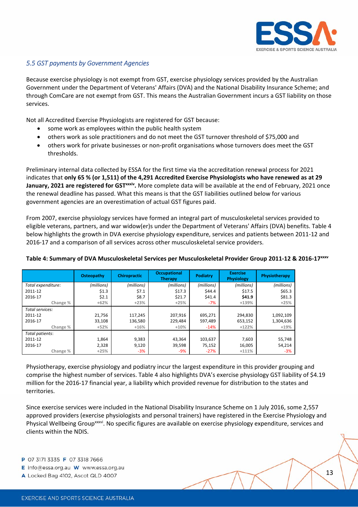

#### *5.5 GST payments by Government Agencies*

Because exercise physiology is not exempt from GST, exercise physiology services provided by the Australian Government under the Department of Veterans' Affairs (DVA) and the National Disability Insurance Scheme; and through ComCare are not exempt from GST. This means the Australian Government incurs a GST liability on those services.

Not all Accredited Exercise Physiologists are registered for GST because:

- some work as employees within the public health system
- others work as sole practitioners and do not meet the GST turnover threshold of \$75,000 and
- others work for private businesses or non-profit organisations whose turnovers does meet the GST thresholds.

Preliminary internal data collected by ESSA for the first time via the accreditation renewal process for 2021 indicates that only 65 % (or 1,511) of the 4,291 Accredited Exercise Physiologists who have renewed as at 29 **January, 2021 are registered for GSTxxxiv.** More complete data will be available at the end of February, 2021 once the renewal deadline has passed. What this means is that the GST liabilities outlined below for various government agencies are an overestimation of actual GST figures paid.

From 2007, exercise physiology services have formed an integral part of musculoskeletal services provided to eligible veterans, partners, and war widow(er)s under the Department of Veterans' Affairs (DVA) benefits. Table 4 below highlights the growth in DVA exercise physiology expenditure, services and patients between 2011‐12 and 2016-17 and a comparison of all services across other musculoskeletal service providers.

|                    | Osteopathy | <b>Chiropractic</b> | <b>Occupational</b><br><b>Therapy</b> | <b>Podiatry</b> | <b>Exercise</b><br><b>Physiology</b> | Physiotherapy |
|--------------------|------------|---------------------|---------------------------------------|-----------------|--------------------------------------|---------------|
| Total expenditure: | (millions) | (millions)          | (millions)                            | (millions)      | (millions)                           | (millions)    |
| 2011-12            | \$1.3      | \$7.1               | \$17.3                                | \$44.4          | \$17.5                               | \$65.3\$      |
| 2016-17            | \$2.1      | \$8.7               | \$21.7                                | \$41.4          | \$41.9                               | \$81.3        |
| Change %           | $+62%$     | $+23%$              | $+25%$                                | $-7%$           | $+139%$                              | $+25%$        |
| Total services:    |            |                     |                                       |                 |                                      |               |
| 2011-12            | 21.756     | 117,245             | 207,916                               | 695.271         | 294,830                              | 1,092,109     |
| 2016-17            | 33,108     | 136,580             | 229.484                               | 597,489         | 653,152                              | 1,304,636     |
| Change %           | $+52%$     | $+16%$              | $+10%$                                | $-14%$          | $+122%$                              | $+19%$        |
| Total patients:    |            |                     |                                       |                 |                                      |               |
| 2011-12            | 1,864      | 9,383               | 43,364                                | 103,637         | 7,603                                | 55,748        |
| 2016-17            | 2,328      | 9,120               | 39,598                                | 75,152          | 16,005                               | 54,214        |
| Change %           | $+25%$     | -3%                 | -9%                                   | $-27%$          | $+111%$                              | $-3%$         |

#### Table 4: Summary of DVA Musculoskeletal Services per Musculoskeletal Provider Group 2011-12 & 2016-17<sup>xxxv</sup>

Physiotherapy, exercise physiology and podiatry incur the largest expenditure in this provider grouping and comprise the highest number of services. Table 4 also highlights DVA's exercise physiology GST liability of \$4.19 million for the 2016‐17 financial year, a liability which provided revenue for distribution to the states and territories.

Since exercise services were included in the National Disability Insurance Scheme on 1 July 2016, some 2,557 approved providers (exercise physiologists and personal trainers) have registered in the Exercise Physiology and Physical Wellbeing Group<sup>xxxvi</sup>. No specific figures are available on exercise physiology expenditure, services and clients within the NDIS.

- E info@essa.org.au W www.essa.org.au
- A Locked Bag 4102, Ascot QLD 4007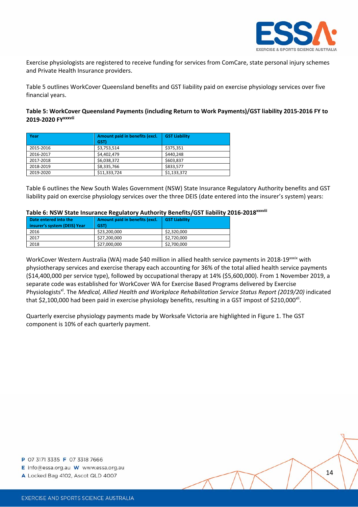

Exercise physiologists are registered to receive funding for services from ComCare, state personal injury schemes and Private Health Insurance providers.

Table 5 outlines WorkCover Queensland benefits and GST liability paid on exercise physiology services over five financial years.

**Table 5: WorkCover Queensland Payments (including Return to Work Payments)/GST liability 2015‐2016 FY to 2019‐2020 FYxxxvii**

| Year      | Amount paid in benefits (excl.<br>GST) | <b>GST Liability</b> |
|-----------|----------------------------------------|----------------------|
| 2015-2016 | \$3,753,514                            | \$375,351            |
| 2016-2017 | \$4,402,479                            | \$440.248            |
| 2017-2018 | \$6,038,372                            | \$603,837            |
| 2018-2019 | \$8,335,766                            | \$833,577            |
| 2019-2020 | \$11,333,724                           | \$1,133,372          |

Table 6 outlines the New South Wales Government (NSW) State Insurance Regulatory Authority benefits and GST liability paid on exercise physiology services over the three DEIS (date entered into the insurer's system) years:

#### **Table 6: NSW State Insurance Regulatory Authority Benefits/GST liability 2016‐2018xxxviii**

| Date entered into the |                              | Amount paid in benefits (excl. | <b>GST Liability</b> |
|-----------------------|------------------------------|--------------------------------|----------------------|
|                       | insurer's system (DEIS) Year | GST)                           |                      |
|                       | 2016                         | \$23,200,000                   | \$2,320,000          |
|                       | 2017                         | \$27,200,000                   | \$2,720,000          |
|                       | 2018                         | \$27,000,000                   | \$2,700,000          |

WorkCover Western Australia (WA) made \$40 million in allied health service payments in 2018-19<sup>xxxix</sup> with physiotherapy services and exercise therapy each accounting for 36% of the total allied health service payments (\$14,400,000 per service type), followed by occupational therapy at 14% (\$5,600,000). From 1 November 2019, a separate code was established for WorkCover WA for Exercise Based Programs delivered by Exercise Physiologistsxl. The *Medical, Allied Health and Workplace Rehabilitation Service Status Report (2019/20)* indicated that \$2,100,000 had been paid in exercise physiology benefits, resulting in a GST impost of \$210,000 $\text{N}$ i.

Quarterly exercise physiology payments made by Worksafe Victoria are highlighted in Figure 1. The GST component is 10% of each quarterly payment.

P 07 3171 3335 F 07 3318 7666

E info@essa.org.au W www.essa.org.au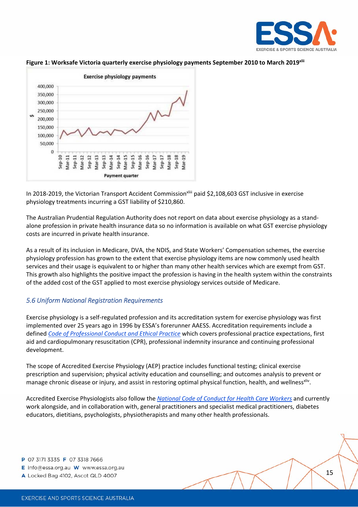



#### **Figure 1: Worksafe Victoria quarterly exercise physiology payments September 2010 to March 2019xlii**

In 2018-2019, the Victorian Transport Accident Commission<sup>xliii</sup> paid \$2,108,603 GST inclusive in exercise physiology treatments incurring a GST liability of \$210,860.

The Australian Prudential Regulation Authority does not report on data about exercise physiology as a stand‐ alone profession in private health insurance data so no information is available on what GST exercise physiology costs are incurred in private health insurance.

As a result of its inclusion in Medicare, DVA, the NDIS, and State Workers' Compensation schemes, the exercise physiology profession has grown to the extent that exercise physiology items are now commonly used health services and their usage is equivalent to or higher than many other health services which are exempt from GST. This growth also highlights the positive impact the profession is having in the health system within the constraints of the added cost of the GST applied to most exercise physiology services outside of Medicare.

#### *5.6 Uniform National Registration Requirements*

Exercise physiology is a self‐regulated profession and its accreditation system for exercise physiology was first implemented over 25 years ago in 1996 by ESSA's forerunner AAESS. Accreditation requirements include a defined *Code of Professional Conduct and Ethical Practice* which covers professional practice expectations, first aid and cardiopulmonary resuscitation (CPR), professional indemnity insurance and continuing professional development.

The scope of Accredited Exercise Physiology (AEP) practice includes functional testing; clinical exercise prescription and supervision; physical activity education and counselling; and outcomes analysis to prevent or manage chronic disease or injury, and assist in restoring optimal physical function, health, and wellness<sup>xliv</sup>.

Accredited Exercise Physiologists also follow the *National Code of Conduct for Health Care Workers* and currently work alongside, and in collaboration with, general practitioners and specialist medical practitioners, diabetes educators, dietitians, psychologists, physiotherapists and many other health professionals.

- E info@essa.org.au W www.essa.org.au
- A Locked Bag 4102, Ascot QLD 4007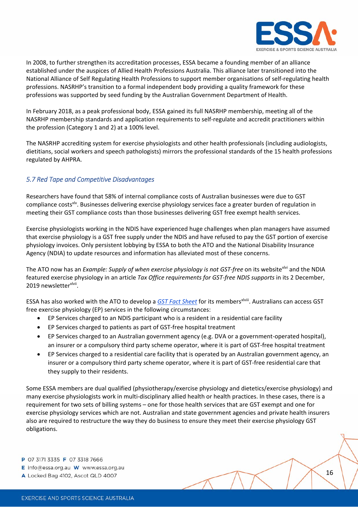

In 2008, to further strengthen its accreditation processes, ESSA became a founding member of an alliance established under the auspices of Allied Health Professions Australia. This alliance later transitioned into the National Alliance of Self Regulating Health Professions to support member organisations of self‐regulating health professions. NASRHP's transition to a formal independent body providing a quality framework for these professions was supported by seed funding by the Australian Government Department of Health.

In February 2018, as a peak professional body, ESSA gained its full NASRHP membership, meeting all of the NASRHP membership standards and application requirements to self‐regulate and accredit practitioners within the profession (Category 1 and 2) at a 100% level.

The NASRHP accrediting system for exercise physiologists and other health professionals (including audiologists, dietitians, social workers and speech pathologists) mirrors the professional standards of the 15 health professions regulated by AHPRA.

## *5.7 Red Tape and Competitive Disadvantages*

Researchers have found that 58% of internal compliance costs of Australian businesses were due to GST compliance costs<sup>xiv</sup>. Businesses delivering exercise physiology services face a greater burden of regulation in meeting their GST compliance costs than those businesses delivering GST free exempt health services.

Exercise physiologists working in the NDIS have experienced huge challenges when plan managers have assumed that exercise physiology is a GST free supply under the NDIS and have refused to pay the GST portion of exercise physiology invoices. Only persistent lobbying by ESSA to both the ATO and the National Disability Insurance Agency (NDIA) to update resources and information has alleviated most of these concerns.

The ATO now has an *Example: Supply of when exercise physiology is not GST‐free* on its websitexlvi and the NDIA featured exercise physiology in an article *Tax Office requirements for GST‐free NDIS supports* in its 2 December, 2019 newsletter<sup>xlvii</sup>.

ESSA has also worked with the ATO to develop a *GST Fact Sheet* for its membersxlviii. Australians can access GST free exercise physiology (EP) services in the following circumstances:

- EP Services charged to an NDIS participant who is a resident in a residential care facility
- EP Services charged to patients as part of GST‐free hospital treatment
- EP Services charged to an Australian government agency (e.g. DVA or a government‐operated hospital), an insurer or a compulsory third party scheme operator, where it is part of GST-free hospital treatment
- EP Services charged to a residential care facility that is operated by an Australian government agency, an insurer or a compulsory third party scheme operator, where it is part of GST‐free residential care that they supply to their residents.

Some ESSA members are dual qualified (physiotherapy/exercise physiology and dietetics/exercise physiology) and many exercise physiologists work in multi‐disciplinary allied health or health practices. In these cases, there is a requirement for two sets of billing systems – one for those health services that are GST exempt and one for exercise physiology services which are not. Australian and state government agencies and private health insurers also are required to restructure the way they do business to ensure they meet their exercise physiology GST obligations.

- E info@essa.org.au W www.essa.org.au
- A Locked Bag 4102, Ascot QLD 4007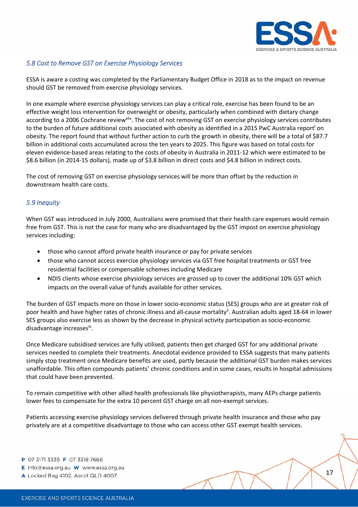

#### *5.8 Cost to Remove GST on Exercise Physiology Services*

ESSA is aware a costing was completed by the Parliamentary Budget Office in 2018 as to the impact on revenue should GST be removed from exercise physiology services.

In one example where exercise physiology services can play a critical role, exercise has been found to be an effective weight loss intervention for overweight or obesity, particularly when combined with dietary change according to a 2006 Cochrane review<sup>xlix</sup>. The cost of not removing GST on exercise physiology services contributes to the burden of future additional costs associated with obesity as identified in a 2015 PwC Australia report<sup>1</sup> on obesity. The report found that without further action to curb the growth in obesity, there will be a total of \$87.7 billion in additional costs accumulated across the ten years to 2025. This figure was based on total costs for eleven evidence‐based areas relating to the costs of obesity in Australia in 2011‐12 which were estimated to be \$8.6 billion (in 2014‐15 dollars), made up of \$3.8 billion in direct costs and \$4.8 billion in indirect costs.

The cost of removing GST on exercise physiology services will be more than offset by the reduction in downstream health care costs.

#### *5.9 Inequity*

When GST was introduced in July 2000, Australians were promised that their health care expenses would remain free from GST. This is not the case for many who are disadvantaged by the GST impost on exercise physiology services including:

- those who cannot afford private health insurance or pay for private services
- those who cannot access exercise physiology services via GST free hospital treatments or GST free residential facilities or compensable schemes including Medicare
- NDIS clients whose exercise physiology services are grossed up to cover the additional 10% GST which impacts on the overall value of funds available for other services.

The burden of GST impacts more on those in lower socio‐economic status (SES) groups who are at greater risk of poor health and have higher rates of chronic illness and all-cause mortality<sup>ii</sup>. Australian adults aged 18-64 in lower SES groups also exercise less as shown by the decrease in physical activity participation as socio‐economic disadvantage increases<sup>lii</sup>.

Once Medicare subsidised services are fully utilised, patients then get charged GST for any additional private services needed to complete their treatments. Anecdotal evidence provided to ESSA suggests that many patients simply stop treatment once Medicare benefits are used, partly because the additional GST burden makes services unaffordable. This often compounds patients' chronic conditions and in some cases, results in hospital admissions that could have been prevented.

To remain competitive with other allied health professionals like physiotherapists, many AEPs charge patients lower fees to compensate for the extra 10 percent GST charge on all non-exempt services.

Patients accessing exercise physiology services delivered through private health insurance and those who pay privately are at a competitive disadvantage to those who can access other GST exempt health services.

- P 07 3171 3335 F 07 3318 7666
- E info@essa.org.au W www.essa.org.au
- A Locked Bag 4102, Ascot QLD 4007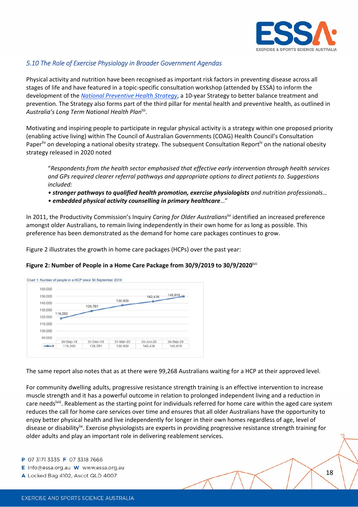

#### *5.10 The Role of Exercise Physiology in Broader Government Agendas*

Physical activity and nutrition have been recognised as important risk factors in preventing disease across all stages of life and have featured in a topic‐specific consultation workshop (attended by ESSA) to inform the development of the *National Preventive Health Strategy*, a 10‐year Strategy to better balance treatment and prevention. The Strategy also forms part of the third pillar for mental health and preventive health, as outlined in *Australia's Long Term National Health Plan*liii.

Motivating and inspiring people to participate in regular physical activity is a strategy within one proposed priority (enabling active living) within The Council of Australian Governments (COAG) Health Council's Consultation Paper<sup>liv</sup> on developing a national obesity strategy. The subsequent Consultation Report<sup>ly</sup> on the national obesity strategy released in 2020 noted

"*Respondents from the health sector emphasised that effective early intervention through health services and GPs required clearer referral pathways and appropriate options to direct patients to. Suggestions included:*

- *• stronger pathways to qualified health promotion, exercise physiologists and nutrition professionals…*
- *• embedded physical activity counselling in primary healthcare*…"

In 2011, the Productivity Commission's Inquiry *Caring for Older Australianslvi* identified an increased preference amongst older Australians, to remain living independently in their own home for as long as possible. This preference has been demonstrated as the demand for home care packages continues to grow.

Figure 2 illustrates the growth in home care packages (HCPs) over the past year:

#### **Figure 2: Number of People in a Home Care Package from 30/9/2019 to 30/9/2020**lvii

| 150,000 |           |           |           | 142,436   | $149,819 -$ |
|---------|-----------|-----------|-----------|-----------|-------------|
| 140,000 |           |           | 136,909   |           |             |
| 130,000 |           | 128,781   |           |           |             |
| 120,000 | 118,050   |           |           |           |             |
| 110,000 |           |           |           |           |             |
|         |           |           |           |           |             |
|         |           |           |           |           |             |
| 100,000 |           |           |           |           |             |
| 90,000  | 30-Sep-19 | 31-Dec-19 | 31-Mar-20 | 30-Jun-20 | 30-Sep-20   |

The same report also notes that as at there were 99,268 Australians waiting for a HCP at their approved level.

For community dwelling adults, progressive resistance strength training is an effective intervention to increase muscle strength and it has a powerful outcome in relation to prolonged independent living and a reduction in care needs<sup>lviii</sup>. Reablement as the starting point for individuals referred for home care within the aged care system reduces the call for home care services over time and ensures that all older Australians have the opportunity to enjoy better physical health and live independently for longer in their own homes regardless of age, level of disease or disability<sup>lix</sup>. Exercise physiologists are experts in providing progressive resistance strength training for older adults and play an important role in delivering reablement services.

- E info@essa.org.au W www.essa.org.au
- A Locked Bag 4102, Ascot QLD 4007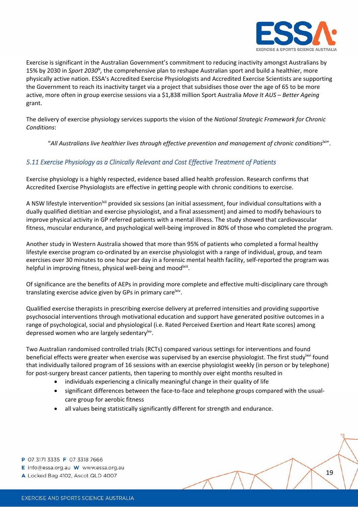

Exercise is significant in the Australian Government's commitment to reducing inactivity amongst Australians by 15% by 2030 in *Sport 2030lx,* the comprehensive plan to reshape Australian sport and build a healthier, more physically active nation. ESSA's Accredited Exercise Physiologists and Accredited Exercise Scientists are supporting the Government to reach its inactivity target via a project that subsidises those over the age of 65 to be more active, more often in group exercise sessions via a \$1,838 million Sport Australia *Move It AUS – Better Ageing* grant.

The delivery of exercise physiology services supports the vision of the *National Strategic Framework for Chronic Conditions*:

"*All Australians live healthier lives through effective prevention and management of chronic conditions*lxi".

### *5.11 Exercise Physiology as a Clinically Relevant and Cost Effective Treatment of Patients*

Exercise physiology is a highly respected, evidence based allied health profession. Research confirms that Accredited Exercise Physiologists are effective in getting people with chronic conditions to exercise.

A NSW lifestyle intervention<sup>|xii</sup> provided six sessions (an initial assessment, four individual consultations with a dually qualified dietitian and exercise physiologist, and a final assessment) and aimed to modify behaviours to improve physical activity in GP referred patients with a mental illness. The study showed that cardiovascular fitness, muscular endurance, and psychological well‐being improved in 80% of those who completed the program.

Another study in Western Australia showed that more than 95% of patients who completed a formal healthy lifestyle exercise program co‐ordinated by an exercise physiologist with a range of individual, group, and team exercises over 30 minutes to one hour per day in a forensic mental health facility, self-reported the program was helpful in improving fitness, physical well-being and mood<sup>|xiii</sup>.

Of significance are the benefits of AEPs in providing more complete and effective multi‐disciplinary care through translating exercise advice given by GPs in primary care<sup>lxiv</sup>.

Qualified exercise therapists in prescribing exercise delivery at preferred intensities and providing supportive psychosocial interventions through motivational education and support have generated positive outcomes in a range of psychological, social and physiological (i.e. Rated Perceived Exertion and Heart Rate scores) among depressed women who are largely sedentary<sup>lxv</sup>.

Two Australian randomised controlled trials (RCTs) compared various settings for interventions and found beneficial effects were greater when exercise was supervised by an exercise physiologist. The first study  $x^{1/2}$  found that individually tailored program of 16 sessions with an exercise physiologist weekly (in person or by telephone) for post-surgery breast cancer patients, then tapering to monthly over eight months resulted in

- individuals experiencing a clinically meaningful change in their quality of life
- significant differences between the face-to-face and telephone groups compared with the usualcare group for aerobic fitness
- all values being statistically significantly different for strength and endurance.

- E info@essa.org.au W www.essa.org.au
- A Locked Bag 4102, Ascot QLD 4007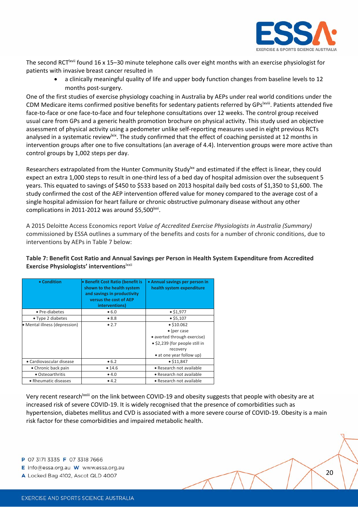

The second RCT<sup>Ixvii</sup> found 16 x 15-30 minute telephone calls over eight months with an exercise physiologist for patients with invasive breast cancer resulted in

 a clinically meaningful quality of life and upper body function changes from baseline levels to 12 months post‐surgery.

One of the first studies of exercise physiology coaching in Australia by AEPs under real world conditions under the CDM Medicare items confirmed positive benefits for sedentary patients referred by GPs<sup>lxviii</sup>. Patients attended five face-to-face or one face-to-face and four telephone consultations over 12 weeks. The control group received usual care from GPs and a generic health promotion brochure on physical activity. This study used an objective assessment of physical activity using a pedometer unlike self‐reporting measures used in eight previous RCTs analysed in a systematic review<sup>|xix</sup>. The study confirmed that the effect of coaching persisted at 12 months in intervention groups after one to five consultations (an average of 4.4). Intervention groups were more active than control groups by 1,002 steps per day.

Researchers extrapolated from the Hunter Community Study<sup>1xx</sup> and estimated if the effect is linear, they could expect an extra 1,000 steps to result in one-third less of a bed day of hospital admission over the subsequent 5 years. This equated to savings of \$450 to \$533 based on 2013 hospital daily bed costs of \$1,350 to \$1,600. The study confirmed the cost of the AEP intervention offered value for money compared to the average cost of a single hospital admission for heart failure or chronic obstructive pulmonary disease without any other complications in 2011-2012 was around  $$5,500$ <sup>lxxi</sup>.

A 2015 Deloitte Access Economics report *Value of Accredited Exercise Physiologists in Australia (Summary)* commissioned by ESSA outlines a summary of the benefits and costs for a number of chronic conditions, due to interventions by AEPs in Table 7 below:

#### **Table 7: Benefit Cost Ratio and Annual Savings per Person in Health System Expenditure from Accredited Exercise Physiologists' interventions**lxxii

| • Condition                   | • Benefit Cost Ratio (benefit is<br>shown to the health system<br>and savings in productivity<br>versus the cost of AEP<br>interventions) | • Annual savings per person in<br>health system expenditure                                                                                |
|-------------------------------|-------------------------------------------------------------------------------------------------------------------------------------------|--------------------------------------------------------------------------------------------------------------------------------------------|
| • Pre-diabetes                | • 6.0                                                                                                                                     | • \$1,977                                                                                                                                  |
| • Type 2 diabetes             | •8.8                                                                                                                                      | $•$ \$5,107                                                                                                                                |
| • Mental illness (depression) | • 2.7                                                                                                                                     | • \$10.062<br>$\bullet$ (per case<br>• averted through exercise)<br>• \$2,239 (for people still in<br>recovery<br>• at one year follow up) |
| • Cardiovascular disease      | • 6.2                                                                                                                                     | • \$11.847                                                                                                                                 |
| • Chronic back pain           | • 14.6                                                                                                                                    | • Research not available                                                                                                                   |
| • Osteoarthritis              | •4.0                                                                                                                                      | • Research not available                                                                                                                   |
| • Rheumatic diseases          | • 4.2                                                                                                                                     | • Research not available                                                                                                                   |

Very recent research<sup>lxxiii</sup> on the link between COVID-19 and obesity suggests that people with obesity are at increased risk of severe COVID‐19. It is widely recognised that the presence of comorbidities such as hypertension, diabetes mellitus and CVD is associated with a more severe course of COVID‐19. Obesity is a main risk factor for these comorbidities and impaired metabolic health.

P 07 3171 3335 F 07 3318 7666

E info@essa.org.au W www.essa.org.au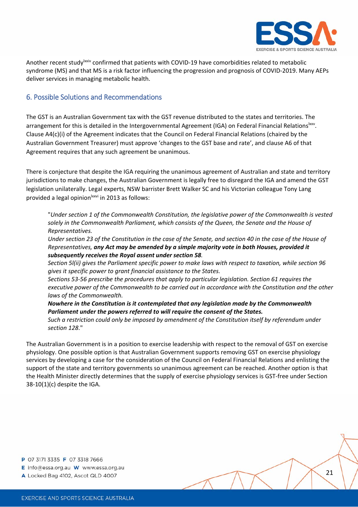

Another recent study<sup>lxxiv</sup> confirmed that patients with COVID-19 have comorbidities related to metabolic syndrome (MS) and that MS is a risk factor influencing the progression and prognosis of COVID-2019. Many AEPs deliver services in managing metabolic health.

### 6. Possible Solutions and Recommendations

The GST is an Australian Government tax with the GST revenue distributed to the states and territories. The arrangement for this is detailed in the Intergovernmental Agreement (IGA) on Federal Financial Relations<sup>lxxv</sup>. Clause A4(c)(i) of the Agreement indicates that the Council on Federal Financial Relations (chaired by the Australian Government Treasurer) must approve 'changes to the GST base and rate', and clause A6 of that Agreement requires that any such agreement be unanimous.

There is conjecture that despite the IGA requiring the unanimous agreement of Australian and state and territory jurisdictions to make changes, the Australian Government is legally free to disregard the IGA and amend the GST legislation unilaterally. Legal experts, NSW barrister Brett Walker SC and his Victorian colleague Tony Lang provided a legal opinion<sup>lxxvi</sup> in 2013 as follows:

"*Under section 1 of the Commonwealth Constitution, the legislative power of the Commonwealth is vested solely in the Commonwealth Parliament, which consists of the Queen, the Senate and the House of Representatives.*

Under section 23 of the Constitution in the case of the Senate, and section 40 in the case of the House of *Representatives, any Act may be amended by a simple majority vote in both Houses, provided it subsequently receives the Royal assent under section 58.*

Section 5I(ii) gives the Parliament specific power to make laws with respect to taxation, while section 96 *gives it specific power to grant financial assistance to the States.*

*Sections 53‐56 prescribe the procedures that apply to particular legislation. Section 61 requires the executive power of the Commonwealth to be carried out in accordance with the Constitution and the other laws of the Commonwealth.*

*Nowhere in the Constitution is it contemplated that any legislation made by the Commonwealth Parliament under the powers referred to will require the consent of the States.*

*Such a restriction could only be imposed by amendment of the Constitution itself by referendum under section 128*."

The Australian Government is in a position to exercise leadership with respect to the removal of GST on exercise physiology. One possible option is that Australian Government supports removing GST on exercise physiology services by developing a case for the consideration of the Council on Federal Financial Relations and enlisting the support of the state and territory governments so unanimous agreement can be reached. Another option is that the Health Minister directly determines that the supply of exercise physiology services is GST‐free under Section 38‐10(1)(c) despite the IGA.

- E info@essa.org.au W www.essa.org.au
- A Locked Bag 4102, Ascot QLD 4007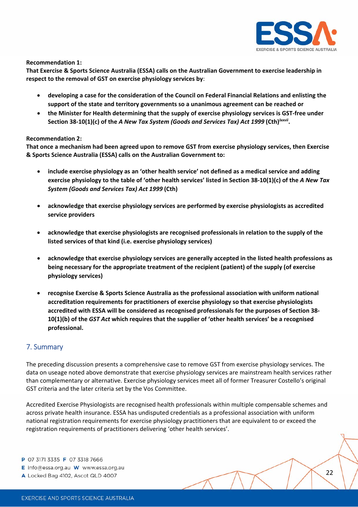

**Recommendation 1:**

**That Exercise & Sports Science Australia (ESSA) calls on the Australian Government to exercise leadership in respect to the removal of GST on exercise physiology services by**:

- **developing a case for the consideration of the Council on Federal Financial Relations and enlisting the support of the state and territory governments so a unanimous agreement can be reached or**
- **the Minister for Health determining that the supply of exercise physiology services is GST‐free under Section 38‐10(1)(c) of the** *A New Tax System (Goods and Services Tax) Act 1999* **(Cth)***lxxvii***.**

#### **Recommendation 2:**

**That once a mechanism had been agreed upon to remove GST from exercise physiology services, then Exercise & Sports Science Australia (ESSA) calls on the Australian Government to:**

- **include exercise physiology as an 'other health service' not defined as a medical service and adding** exercise physiology to the table of 'other health services' listed in Section 38-10(1)(c) of the A New Tax *System (Goods and Services Tax) Act 1999* **(Cth)**
- **acknowledge that exercise physiology services are performed by exercise physiologists as accredited service providers**
- **acknowledge that exercise physiologists are recognised professionals in relation to the supply of the listed services of that kind (i.e. exercise physiology services)**
- **acknowledge that exercise physiology services are generally accepted in the listed health professions as being necessary for the appropriate treatment of the recipient (patient) of the supply (of exercise physiology services)**
- **recognise Exercise & Sports Science Australia as the professional association with uniform national accreditation requirements for practitioners of exercise physiology so that exercise physiologists accredited with ESSA will be considered as recognised professionals for the purposes of Section 38‐ 10(1)(b) of the** *GST Act* **which requires that the supplier of 'other health services' be a recognised professional.**

### 7. Summary

The preceding discussion presents a comprehensive case to remove GST from exercise physiology services. The data on useage noted above demonstrate that exercise physiology services are mainstream health services rather than complementary or alternative. Exercise physiology services meet all of former Treasurer Costello's original GST criteria and the later criteria set by the Vos Committee.

Accredited Exercise Physiologists are recognised health professionals within multiple compensable schemes and across private health insurance. ESSA has undisputed credentials as a professional association with uniform national registration requirements for exercise physiology practitioners that are equivalent to or exceed the registration requirements of practitioners delivering 'other health services'.

- P 07 3171 3335 F 07 3318 7666
- E info@essa.org.au W www.essa.org.au
- A Locked Bag 4102, Ascot QLD 4007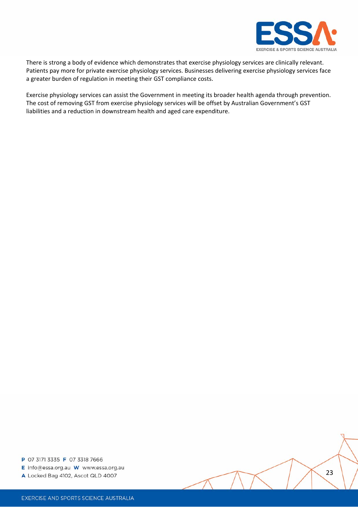

There is strong a body of evidence which demonstrates that exercise physiology services are clinically relevant. Patients pay more for private exercise physiology services. Businesses delivering exercise physiology services face a greater burden of regulation in meeting their GST compliance costs.

Exercise physiology services can assist the Government in meeting its broader health agenda through prevention. The cost of removing GST from exercise physiology services will be offset by Australian Government's GST liabilities and a reduction in downstream health and aged care expenditure.

- E info@essa.org.au W www.essa.org.au
- A Locked Bag 4102, Ascot QLD 4007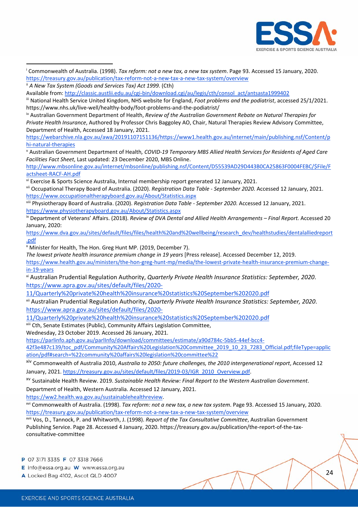

| <sup>i</sup> Commonwealth of Australia. (1998). Tax reform: not a new tax, a new tax system. Page 93. Accessed 15 January, 2020.<br>https://treasury.gov.au/publication/tax-reform-not-a-new-tax-a-new-tax-system/overview |
|----------------------------------------------------------------------------------------------------------------------------------------------------------------------------------------------------------------------------|
| " A New Tax System (Goods and Services Tax) Act 1999. (Cth)                                                                                                                                                                |
| Available from: http://classic.austlii.edu.au/cgi-bin/download.cgi/au/legis/cth/consol act/antsasta1999402                                                                                                                 |
| " National Health Service United Kingdom, NHS website for England, Foot problems and the podiatrist, accessed 25/1/2021.                                                                                                   |
| https://www.nhs.uk/live-well/healthy-body/foot-problems-and-the-podiatrist/                                                                                                                                                |
| <sup>iv</sup> Australian Government Department of Health, Review of the Australian Government Rebate on Natural Therapies for                                                                                              |
| Private Health Insurance, Authored by Professor Chris Baggoley AO, Chair, Natural Therapies Review Advisory Committee,                                                                                                     |
| Department of Health, Accessed 18 January, 2021.                                                                                                                                                                           |
| https://webarchive.nla.gov.au/awa/20191107151136/https://www1.health.gov.au/internet/main/publishing.nsf/Content/p                                                                                                         |
| hi-natural-therapies                                                                                                                                                                                                       |
| v Australian Government Department of Health, COVID-19 Temporary MBS Allied Health Services for Residents of Aged Care                                                                                                     |
| Facilities Fact Sheet, Last updated: 23 December 2020, MBS Online.                                                                                                                                                         |
| http://www.mbsonline.gov.au/internet/mbsonline/publishing.nsf/Content/D55539AD29D443B0CA25863F0004FEBC/\$File/F                                                                                                            |
| actsheet-RACF-AH.pdf                                                                                                                                                                                                       |
| vi Exercise & Sports Science Australia, Internal membership report generated 12 January, 2021.                                                                                                                             |
| <sup>vii</sup> Occupational Therapy Board of Australia. (2020). Registration Data Table - September 2020. Accessed 12 January, 2021.                                                                                       |
| https://www.occupationaltherapyboard.gov.au/About/Statistics.aspx                                                                                                                                                          |
| viii Physiotherapy Board of Australia. (2020). Registration Data Table - September 2020. Accessed 12 January, 2021.                                                                                                        |
| https://www.physiotherapyboard.gov.au/About/Statistics.aspx                                                                                                                                                                |
| ix Department of Veterans' Affairs. (2018). Review of DVA Dental and Allied Health Arrangements - Final Report. Accessed 20                                                                                                |
| January, 2020:                                                                                                                                                                                                             |
| https://www.dva.gov.au/sites/default/files/files/health%20and%20wellbeing/research_dev/healthstudies/dentalalliedreport                                                                                                    |
| .pdf                                                                                                                                                                                                                       |
| <sup>x</sup> Minister for Health, The Hon. Greg Hunt MP. (2019, December 7).                                                                                                                                               |
| The lowest private health insurance premium change in 19 years [Press release]. Accessed December 12, 2019.                                                                                                                |
| https://www.health.gov.au/ministers/the-hon-greg-hunt-mp/media/the-lowest-private-health-insurance-premium-change-                                                                                                         |
| in-19-years                                                                                                                                                                                                                |
| <sup>xi</sup> Australian Prudential Regulation Authority, Quarterly Private Health Insurance Statistics: September, 2020.                                                                                                  |
| https://www.apra.gov.au/sites/default/files/2020-                                                                                                                                                                          |
| 11/Quarterly%20private%20health%20insurance%20statistics%20September%202020.pdf                                                                                                                                            |
|                                                                                                                                                                                                                            |
| xii Australian Prudential Regulation Authority, Quarterly Private Health Insurance Statistics: September, 2020.                                                                                                            |
| https://www.apra.gov.au/sites/default/files/2020-                                                                                                                                                                          |
| 11/Quarterly%20private%20health%20insurance%20statistics%20September%202020.pdf                                                                                                                                            |
| <sup>xiii</sup> Cth, Senate Estimates (Public), Community Affairs Legislation Committee,                                                                                                                                   |
| Wednesday, 23 October 2019. Accessed 26 January, 2021.                                                                                                                                                                     |
| https://parlinfo.aph.gov.au/parlInfo/download/committees/estimate/a90d784c-5bb5-44ef-bcc4-                                                                                                                                 |
| 42f3e487c139/toc pdf/Community%20Affairs%20Legislation%20Committee 2019 10 23 7283 Official.pdf;fileType=applic                                                                                                            |
| ation/pdf#search=%22community%20affairs%20legislation%20committee%22                                                                                                                                                       |
| xiv Commonwealth of Australia 2010, Australia to 2050: future challenges, the 2010 intergenerational report, Accessed 12                                                                                                   |
| January, 2021. https://treasury.gov.au/sites/default/files/2019-03/IGR 2010 Overview.pdf.                                                                                                                                  |
| <sup>XV</sup> Sustainable Health Review. 2019. Sustainable Health Review: Final Report to the Western Australian Government.                                                                                               |
| Department of Health, Western Australia. Accessed 12 January, 2021.                                                                                                                                                        |
| https://ww2.health.wa.gov.au/sustainablehealthreview.                                                                                                                                                                      |
| <sup>xvi</sup> Commonwealth of Australia. (1998). Tax reform: not a new tax, a new tax system. Page 93. Accessed 15 January, 2020.                                                                                         |
| https://treasury.gov.au/publication/tax-reform-not-a-new-tax-a-new-tax-system/overview                                                                                                                                     |
| <sup>xvii</sup> Vos, D., Tannock, P. and Whitworth, J. (1998). Report of the Tax Consultative Committee, Australian Government                                                                                             |
| Publishing Service. Page 28. Accessed 4 January, 2020. https://treasury.gov.au/publication/the-report-of-the-tax-                                                                                                          |
| consultative-committee                                                                                                                                                                                                     |

- P 07 3171 3335 F 07 3318 7666
- E info@essa.org.au W www.essa.org.au
- A Locked Bag 4102, Ascot QLD 4007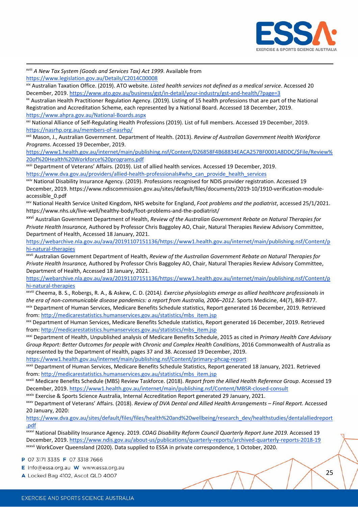

 xviii *A New Tax System (Goods and Services Tax) Act 1999*. Available from https://www.legislation.gov.au/Details/C2014C00008 xix Australian Taxation Office. (2019). ATO website. *Listed health services not defined as a medical service*. Accessed 20 December, 2019. https://www.ato.gov.au/business/gst/in-detail/your-industry/gst-and-health/?page=3 xx Australian Health Practitioner Regulation Agency. (2019). Listing of 15 health professions that are part of the National Registration and Accreditation Scheme, each represented by a National Board. Accessed 18 December, 2019. https://www.ahpra.gov.au/National‐Boards.aspx xxi National Alliance of Self-Regulating Health Professions (2019). List of full members. Accessed 19 December, 2019. https://nasrhp.org.au/members‐of‐nasrhp/ xxii Mason, J., Australian Government. Department of Health. (2013). *Review of Australian Government Health Workforce Programs*. Accessed 19 December, 2019. https://www1.health.gov.au/internet/main/publishing.nsf/Content/D26858F4B68834EACA257BF0001A8DDC/\$File/Review% 20of%20Health%20Workforce%20programs.pdf xxiii Department of Veterans' Affairs. (2019). List of allied health services. Accessed 19 December, 2019. https://www.dva.gov.au/providers/allied-health-professionals#who\_can\_provide\_health\_services xxiv National Disability Insurance Agency. (2019). Professions recognised for NDIS provider registration. Accessed 19 December, 2019. https://www.ndiscommission.gov.au/sites/default/files/documents/2019-10/1910-verification-moduleaccessible\_0.pdf xxv National Health Service United Kingdom, NHS website for England, *Foot problems and the podiatrist*, accessed 25/1/2021. https://www.nhs.uk/live-well/healthy-body/foot-problems-and-the-podiatrist/ xxvi Australian Government Department of Health, *Review of the Australian Government Rebate on Natural Therapies for Private Health Insurance,* Authored by Professor Chris Baggoley AO, Chair, Natural Therapies Review Advisory Committee, Department of Health, Accessed 18 January, 2021. https://webarchive.nla.gov.au/awa/20191107151136/https://www1.health.gov.au/internet/main/publishing.nsf/Content/p hi-natural-therapies xxvii Australian Government Department of Health, *Review of the Australian Government Rebate on Natural Therapies for Private Health Insurance,* Authored by Professor Chris Baggoley AO, Chair, Natural Therapies Review Advisory Committee, Department of Health, Accessed 18 January, 2021. https://webarchive.nla.gov.au/awa/20191107151136/https://www1.health.gov.au/internet/main/publishing.nsf/Content/p hi‐natural‐therapies xxviii Cheema, B. S., Robergs, R. A., & Askew, C. D. (2014*). Exercise physiologists emerge as allied healthcare professionals in the era of non‐communicable disease pandemics: a report from Australia, 2006–2012*. Sports Medicine, 44(7), 869‐877.

xxix Department of Human Services, Medicare Benefits Schedule statistics, Report generated 16 December, 2019. Retrieved from: http://medicarestatistics.humanservices.gov.au/statistics/mbs\_item.jsp

xxx Department of Human Services, Medicare Benefits Schedule statistics, Report generated 16 December, 2019. Retrieved from: http://medicarestatistics.humanservices.gov.au/statistics/mbs\_item.jsp

xxxi Department of Health, Unpublished analysis of Medicare Benefits Schedule, 2015 as cited in *Primary Health Care Advisory Group Report: Better Outcomes for people with Chronic and Complex Health Conditions*, 2016 Commonwealth of Australia as represented by the Department of Health, pages 37 and 38. Accessed 19 December, 2019.

https://www1.health.gov.au/internet/main/publishing.nsf/Content/primary‐phcag‐report

xxxii Department of Human Services, Medicare Benefits Schedule Statistics, Report generated 18 January, 2021. Retrieved from: http://medicarestatistics.humanservices.gov.au/statistics/mbs\_item.jsp

xxxiii Medicare Benefits Schedule (MBS) Review Taskforce. (2018). *Report from the Allied Health Reference Group*. Accessed 19 December, 2019. https://www1.health.gov.au/internet/main/publishing.nsf/Content/MBSR‐closed‐consult

xxxiv Exercise & Sports Science Australia, Internal Accreditation Report generated 29 January, 2021.

xxxv Department of Veterans' Affairs. (2018). *Review of DVA Dental and Allied Health Arrangements – Final Report.* Accessed 20 January, 2020:

https://www.dva.gov.au/sites/default/files/files/health%20and%20wellbeing/research\_dev/healthstudies/dentalalliedreport .pdf

xxxvi National Disability Insurance Agency. 2019. *COAG Disability Reform Council Quarterly Report June 2019.* Accessed 19 December, 2019. https://www.ndis.gov.au/about-us/publications/quarterly-reports/archived-quarterly-reports-2018-19 xxxvii WorkCover Queensland (2020). Data supplied to ESSA in private correspondence, 1 October, 2020.

P 07 3171 3335 F 07 3318 7666

E info@essa.org.au W www.essa.org.au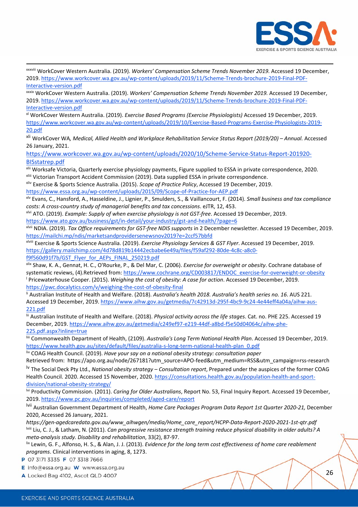

xxxviii WorkCover Western Australia. (2019). *Workers' Compensation Scheme Trends November 2019.* Accessed 19 December, 2019. https://www.workcover.wa.gov.au/wp‐content/uploads/2019/11/Scheme‐Trends‐brochure‐2019‐Final‐PDF‐ Interactive‐version.pdf

xxxix WorkCover Western Australia. (2019). *Workers' Compensation Scheme Trends November 2019.* Accessed 19 December, 2019. https://www.workcover.wa.gov.au/wp‐content/uploads/2019/11/Scheme‐Trends‐brochure‐2019‐Final‐PDF‐ Interactive‐version.pdf

xl WorkCover Western Australia. (2019). *Exercise Based Programs (Exercise Physiologists)* Accessed 19 December, 2019. https://www.workcover.wa.gov.au/wp‐content/uploads/2019/10/Exercise‐Based‐Programs‐Exercise‐Physiologists‐2019‐ 20.pdf

xli WorkCover WA*, Medical, Allied Health and Workplace Rehabilitation Service Status Report (2019/20) – Annual.* Accessed 26 January, 2021.

https://www.workcover.wa.gov.au/wp‐content/uploads/2020/10/Scheme‐Service‐Status‐Report‐201920‐ BISstatrep.pdf

xlii Worksafe Victoria, Quarterly exercise physiology payments, Figure supplied to ESSA in private correspondence, 2020. xliii Victorian Transport Accident Commission (2019). Data supplied ESSA in private correspondence.

xliv Exercise & Sports Science Australia. (2015). *Scope of Practice Policy*, Accessed 19 December, 2019.

https://www.essa.org.au/wp‐content/uploads/2015/09/Scope‐of‐Practice‐for‐AEP.pdf

xlv Evans, C., Hansford, A., Hasseldine, J., Lignier, P., Smulders, S., & Vaillancourt, F. (2014). *Small business and tax compliance costs: A cross‐country study of managerial benefits and tax concessions*. eJTR, 12, 453.

xlvi ATO. (2019). *Example: Supply of when exercise physiology is not GST‐free*. Accessed 19 December, 2019.

https://www.ato.gov.au/business/gst/in-detail/your-industry/gst-and-health/?page=6

xlvii NDIA. (2019). *Tax Office requirements for GST‐free NDIS supports* in 2 December newsletter. Accessed 19 December, 2019. https://mailchi.mp/ndis/marketsandprovidersenewsnov2019?e=2ccf57bbfd

xlviii Exercise & Sports Science Australia. (2019). *Exercise Physiology Services & GST Flyer*. Accessed 19 December, 2019. https://gallery.mailchimp.com/4d78d819b14442ecbabe6e49a/files/f59af292-80de-4c8c-a8c0-

f9f560d91f7b/GST\_Flyer\_for\_AEPs\_FINAL\_250219.pdf

xlix Shaw, K. A., Gennat, H. C., O'Rourke, P., & Del Mar, C. (2006). *Exercise for overweight or obesity*. Cochrane database of systematic reviews, (4).Retrieved from: https://www.cochrane.org/CD003817/ENDOC\_exercise-for-overweight-or-obesity <sup>l</sup> Pricewaterhouse Cooper. (2015). *Weighing the cost of obesity: A case for action*. Accessed 19 December, 2019. https://pwc.docalytics.com/v/weighing‐the‐cost‐of‐obesity‐final

li Australian Institute of Health and Welfare. (2018). *Australia's health 2018. Australia's health series no. 16*. AUS 221. Accessed 19 December, 2019. https://www.aihw.gov.au/getmedia/7c42913d‐295f‐4bc9‐9c24‐4e44eff4a04a/aihw‐aus‐ 221.pdf

lii Australian Institute of Health and Welfare. (2018). *Physical activity across the life stages*. Cat. no. PHE 225. Accessed 19 December, 2019. https://www.aihw.gov.au/getmedia/c249ef97-e219-44df-a8bd-f5e50d04064c/aihw-phe-225.pdf.aspx?inline=true

liii Commonwealth Department of Health, (2109). *Australia's Long Term National Health Plan*. Accessed 19 December, 2019. https://www.health.gov.au/sites/default/files/australia‐s‐long‐term‐national‐health‐plan\_0.pdf

liv COAG Health Council. (2019). *Have your say on a national obesity strategy: consultation paper*

Retrieved from: https://apo.org.au/node/267181?utm\_source=APO-feed&utm\_medium=RSS&utm\_campaign=rss-research lv The Social Deck Pty Ltd., *National obesity strategy – Consultation report*, Prepared under the auspices of the former COAG Health Council. 2020. Accessed 15 November, 2020. https://consultations.health.gov.au/population‐health‐and‐sport‐ division/national‐obesity‐strategy/

lvi Productivity Commission. (2011). *Caring for Older Australians*, Report No. 53, Final Inquiry Report. Accessed 19 December, 2019. https://www.pc.gov.au/inquiries/completed/aged‐care/report

lvii Australian Government Department of Health, *Home Care Packages Program Data Report 1st Quarter 2020‐21,* December 2020, Accessed 26 January, 2021.

*https://gen‐agedcaredata.gov.au/www\_aihwgen/media/Home\_care\_report/HCPP‐Data‐Report‐2020‐2021‐1st‐qtr.pdf*  lviii Liu, C. J., & Latham, N. (2011). *Can progressive resistance strength training reduce physical disability in older adults? A meta‐analysis study. Disability and rehabilitation*, 33(2), 87‐97.

lix Lewin, G. F., Alfonso, H. S., & Alan, J. J. (2013). *Evidence for the long term cost effectiveness of home care reablement programs*. Clinical interventions in aging, 8, 1273.

P 07 3171 3335 F 07 3318 7666

E info@essa.org.au W www.essa.org.au